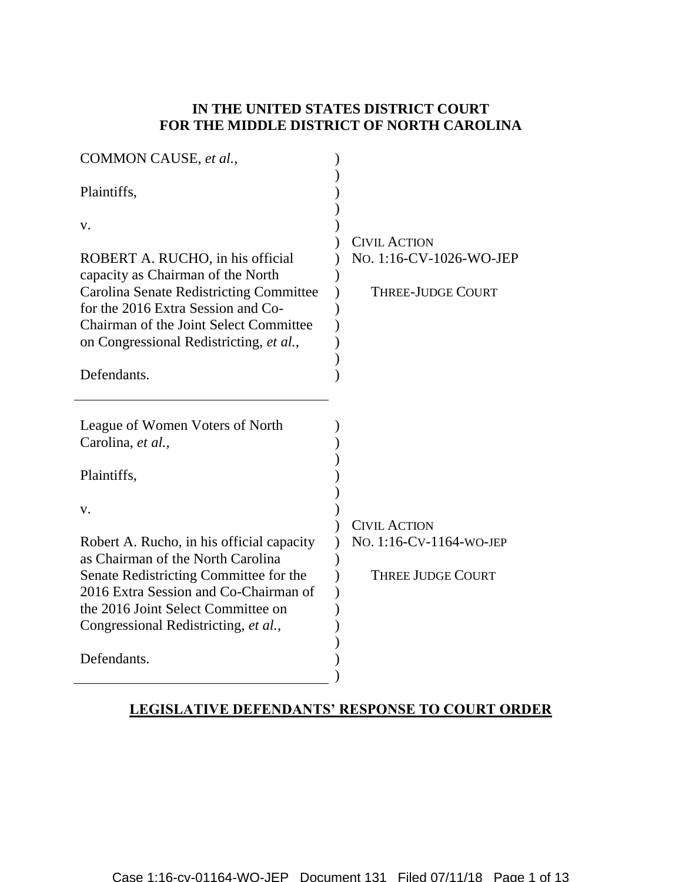## **IN THE UNITED STATES DISTRICT COURT FOR THE MIDDLE DISTRICT OF NORTH CAROLINA**

| COMMON CAUSE, et al.,                          |                          |
|------------------------------------------------|--------------------------|
| Plaintiffs,                                    |                          |
| v.                                             | <b>CIVIL ACTION</b>      |
| ROBERT A. RUCHO, in his official               | No. 1:16-CV-1026-WO-JEP  |
| capacity as Chairman of the North              |                          |
| <b>Carolina Senate Redistricting Committee</b> | <b>THREE-JUDGE COURT</b> |
| for the 2016 Extra Session and Co-             |                          |
| Chairman of the Joint Select Committee         |                          |
| on Congressional Redistricting, et al.,        |                          |
|                                                |                          |
| Defendants.                                    |                          |
|                                                |                          |
| League of Women Voters of North                |                          |
| Carolina, et al.,                              |                          |
|                                                |                          |
| Plaintiffs,                                    |                          |
|                                                |                          |
| v.                                             |                          |
|                                                | <b>CIVIL ACTION</b>      |
| Robert A. Rucho, in his official capacity      | NO. 1:16-CV-1164-WO-JEP  |
| as Chairman of the North Carolina              |                          |
| Senate Redistricting Committee for the         | <b>THREE JUDGE COURT</b> |
| 2016 Extra Session and Co-Chairman of          |                          |
| the 2016 Joint Select Committee on             |                          |
| Congressional Redistricting, et al.,           |                          |
| Defendants.                                    |                          |
|                                                |                          |
|                                                |                          |

# **LEGISLATIVE DEFENDANTS' RESPONSE TO COURT ORDER**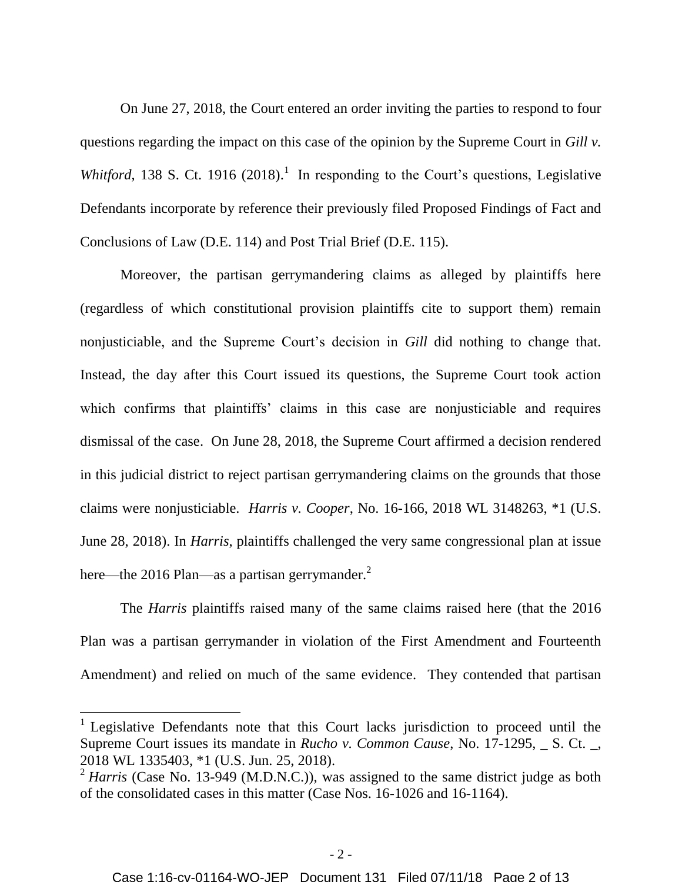On June 27, 2018, the Court entered an order inviting the parties to respond to four questions regarding the impact on this case of the opinion by the Supreme Court in *Gill v.*  Whitford, 138 S. Ct. 1916 (2018).<sup>1</sup> In responding to the Court's questions, Legislative Defendants incorporate by reference their previously filed Proposed Findings of Fact and Conclusions of Law (D.E. 114) and Post Trial Brief (D.E. 115).

Moreover, the partisan gerrymandering claims as alleged by plaintiffs here (regardless of which constitutional provision plaintiffs cite to support them) remain nonjusticiable, and the Supreme Court's decision in *Gill* did nothing to change that. Instead, the day after this Court issued its questions, the Supreme Court took action which confirms that plaintiffs' claims in this case are nonjusticiable and requires dismissal of the case. On June 28, 2018, the Supreme Court affirmed a decision rendered in this judicial district to reject partisan gerrymandering claims on the grounds that those claims were nonjusticiable. *Harris v. Cooper*, No. 16-166, 2018 WL 3148263, \*1 (U.S. June 28, 2018). In *Harris*, plaintiffs challenged the very same congressional plan at issue here—the 2016 Plan—as a partisan gerrymander. $^2$ 

The *Harris* plaintiffs raised many of the same claims raised here (that the 2016 Plan was a partisan gerrymander in violation of the First Amendment and Fourteenth Amendment) and relied on much of the same evidence. They contended that partisan

 $\overline{a}$ 

<sup>&</sup>lt;sup>1</sup> Legislative Defendants note that this Court lacks jurisdiction to proceed until the Supreme Court issues its mandate in *Rucho v. Common Cause*, No. 17-1295, \_ S. Ct. \_, 2018 WL 1335403, \*1 (U.S. Jun. 25, 2018).

<sup>&</sup>lt;sup>2</sup> *Harris* (Case No. 13-949 (M.D.N.C.)), was assigned to the same district judge as both of the consolidated cases in this matter (Case Nos. 16-1026 and 16-1164).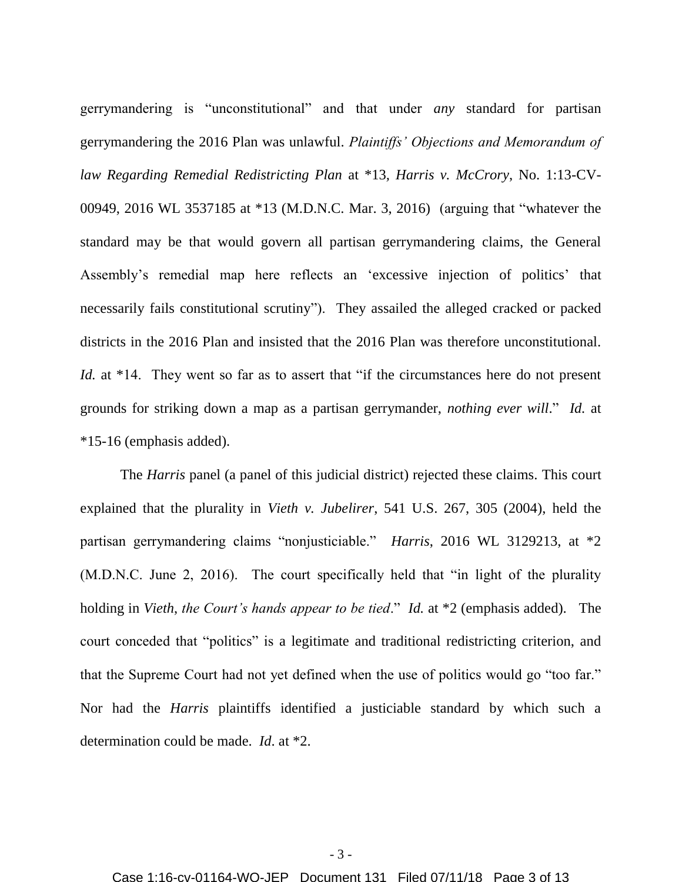gerrymandering is "unconstitutional" and that under *any* standard for partisan gerrymandering the 2016 Plan was unlawful. *Plaintiffs' Objections and Memorandum of law Regarding Remedial Redistricting Plan* at \*13*, Harris v. McCrory*, No. 1:13-CV-00949, 2016 WL 3537185 at \*13 (M.D.N.C. Mar. 3, 2016) (arguing that "whatever the standard may be that would govern all partisan gerrymandering claims, the General Assembly's remedial map here reflects an 'excessive injection of politics' that necessarily fails constitutional scrutiny"). They assailed the alleged cracked or packed districts in the 2016 Plan and insisted that the 2016 Plan was therefore unconstitutional. *Id.* at \*14. They went so far as to assert that "if the circumstances here do not present grounds for striking down a map as a partisan gerrymander, *nothing ever will*." *Id.* at \*15-16 (emphasis added).

The *Harris* panel (a panel of this judicial district) rejected these claims. This court explained that the plurality in *Vieth v. Jubelirer*, 541 U.S. 267, 305 (2004), held the partisan gerrymandering claims "nonjusticiable." *Harris*, 2016 WL 3129213, at \*2 (M.D.N.C. June 2, 2016). The court specifically held that "in light of the plurality holding in *Vieth*, *the Court's hands appear to be tied*." *Id.* at \*2 (emphasis added). The court conceded that "politics" is a legitimate and traditional redistricting criterion, and that the Supreme Court had not yet defined when the use of politics would go "too far." Nor had the *Harris* plaintiffs identified a justiciable standard by which such a determination could be made. *Id*. at \*2.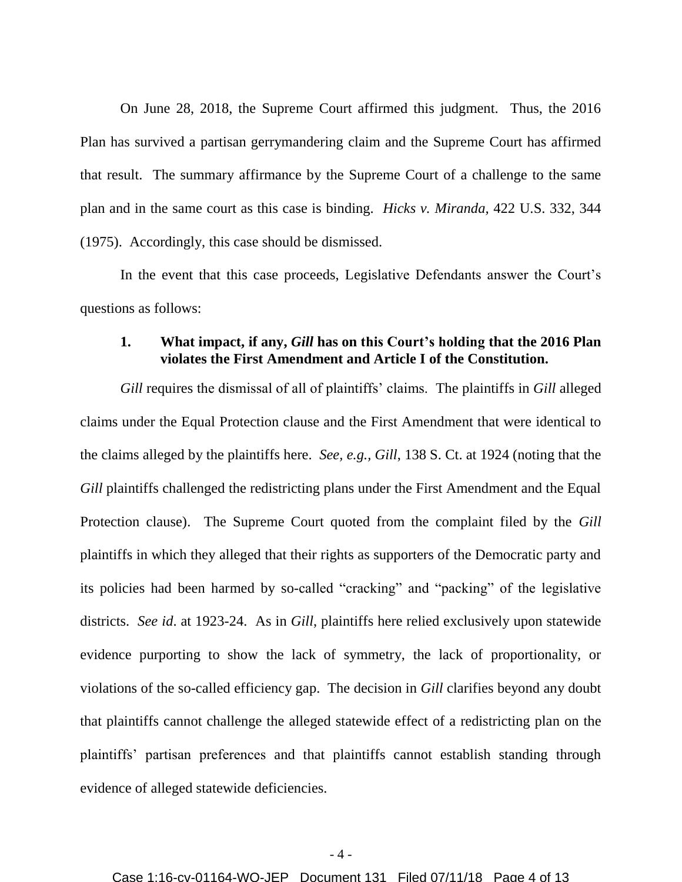On June 28, 2018, the Supreme Court affirmed this judgment. Thus, the 2016 Plan has survived a partisan gerrymandering claim and the Supreme Court has affirmed that result. The summary affirmance by the Supreme Court of a challenge to the same plan and in the same court as this case is binding. *Hicks v. Miranda,* 422 U.S. 332, 344 (1975). Accordingly, this case should be dismissed.

In the event that this case proceeds, Legislative Defendants answer the Court's questions as follows:

#### **1. What impact, if any,** *Gill* **has on this Court's holding that the 2016 Plan violates the First Amendment and Article I of the Constitution.**

*Gill* requires the dismissal of all of plaintiffs' claims. The plaintiffs in *Gill* alleged claims under the Equal Protection clause and the First Amendment that were identical to the claims alleged by the plaintiffs here. *See, e.g., Gill*, 138 S. Ct. at 1924 (noting that the *Gill* plaintiffs challenged the redistricting plans under the First Amendment and the Equal Protection clause). The Supreme Court quoted from the complaint filed by the *Gill* plaintiffs in which they alleged that their rights as supporters of the Democratic party and its policies had been harmed by so-called "cracking" and "packing" of the legislative districts. *See id*. at 1923-24. As in *Gill*, plaintiffs here relied exclusively upon statewide evidence purporting to show the lack of symmetry, the lack of proportionality, or violations of the so-called efficiency gap. The decision in *Gill* clarifies beyond any doubt that plaintiffs cannot challenge the alleged statewide effect of a redistricting plan on the plaintiffs' partisan preferences and that plaintiffs cannot establish standing through evidence of alleged statewide deficiencies.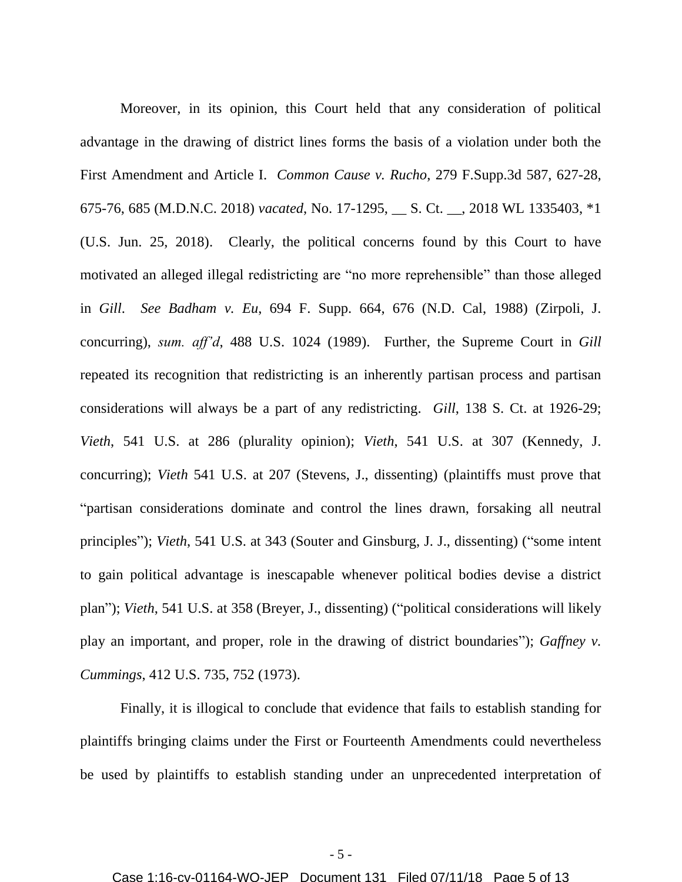Moreover, in its opinion, this Court held that any consideration of political advantage in the drawing of district lines forms the basis of a violation under both the First Amendment and Article I. *Common Cause v. Rucho*, 279 F.Supp.3d 587, 627-28, 675-76, 685 (M.D.N.C. 2018) *vacated*, No. 17-1295, \_\_ S. Ct. \_\_, 2018 WL 1335403, \*1 (U.S. Jun. 25, 2018). Clearly, the political concerns found by this Court to have motivated an alleged illegal redistricting are "no more reprehensible" than those alleged in *Gill*. *See Badham v. Eu*, 694 F. Supp. 664, 676 (N.D. Cal, 1988) (Zirpoli, J. concurring), *sum. aff'd*, 488 U.S. 1024 (1989). Further, the Supreme Court in *Gill* repeated its recognition that redistricting is an inherently partisan process and partisan considerations will always be a part of any redistricting. *Gill*, 138 S. Ct. at 1926-29; *Vieth*, 541 U.S. at 286 (plurality opinion); *Vieth*, 541 U.S. at 307 (Kennedy, J. concurring); *Vieth* 541 U.S. at 207 (Stevens, J., dissenting) (plaintiffs must prove that "partisan considerations dominate and control the lines drawn, forsaking all neutral principles"); *Vieth*, 541 U.S. at 343 (Souter and Ginsburg, J. J., dissenting) ("some intent to gain political advantage is inescapable whenever political bodies devise a district plan"); *Vieth*, 541 U.S. at 358 (Breyer, J., dissenting) ("political considerations will likely play an important, and proper, role in the drawing of district boundaries"); *Gaffney v. Cummings*, 412 U.S. 735, 752 (1973).

Finally, it is illogical to conclude that evidence that fails to establish standing for plaintiffs bringing claims under the First or Fourteenth Amendments could nevertheless be used by plaintiffs to establish standing under an unprecedented interpretation of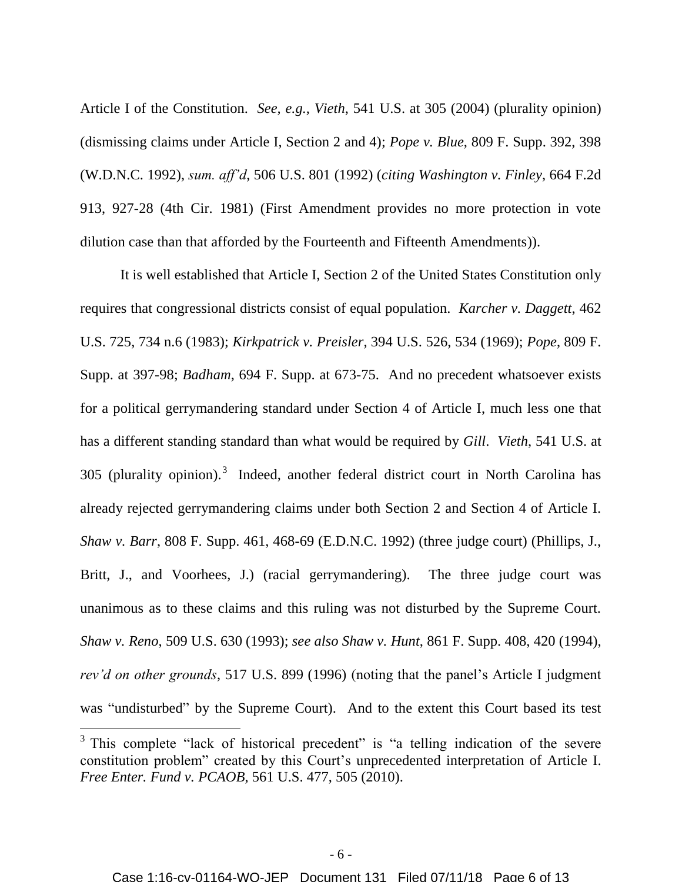Article I of the Constitution. *See, e.g., Vieth*, 541 U.S. at 305 (2004) (plurality opinion) (dismissing claims under Article I, Section 2 and 4); *Pope v. Blue*, 809 F. Supp. 392, 398 (W.D.N.C. 1992), *sum. aff'd*, 506 U.S. 801 (1992) (*citing Washington v. Finley*, 664 F.2d 913, 927-28 (4th Cir. 1981) (First Amendment provides no more protection in vote dilution case than that afforded by the Fourteenth and Fifteenth Amendments)).

It is well established that Article I, Section 2 of the United States Constitution only requires that congressional districts consist of equal population. *Karcher v. Daggett*, 462 U.S. 725, 734 n.6 (1983); *Kirkpatrick v. Preisler*, 394 U.S. 526, 534 (1969); *Pope*, 809 F. Supp. at 397-98; *Badham*, 694 F. Supp. at 673-75. And no precedent whatsoever exists for a political gerrymandering standard under Section 4 of Article I, much less one that has a different standing standard than what would be required by *Gill*. *Vieth*, 541 U.S. at 305 (plurality opinion).<sup>3</sup> Indeed, another federal district court in North Carolina has already rejected gerrymandering claims under both Section 2 and Section 4 of Article I. *Shaw v. Barr*, 808 F. Supp. 461, 468-69 (E.D.N.C. 1992) (three judge court) (Phillips, J., Britt, J., and Voorhees, J.) (racial gerrymandering). The three judge court was unanimous as to these claims and this ruling was not disturbed by the Supreme Court. *Shaw v. Reno*, 509 U.S. 630 (1993); *see also Shaw v. Hunt*, 861 F. Supp. 408, 420 (1994), *rev'd on other grounds*, 517 U.S. 899 (1996) (noting that the panel's Article I judgment was "undisturbed" by the Supreme Court). And to the extent this Court based its test  $\overline{a}$ 

<sup>&</sup>lt;sup>3</sup> This complete "lack of historical precedent" is "a telling indication of the severe constitution problem" created by this Court's unprecedented interpretation of Article I. *Free Enter. Fund v. PCAOB*, 561 U.S. 477, 505 (2010).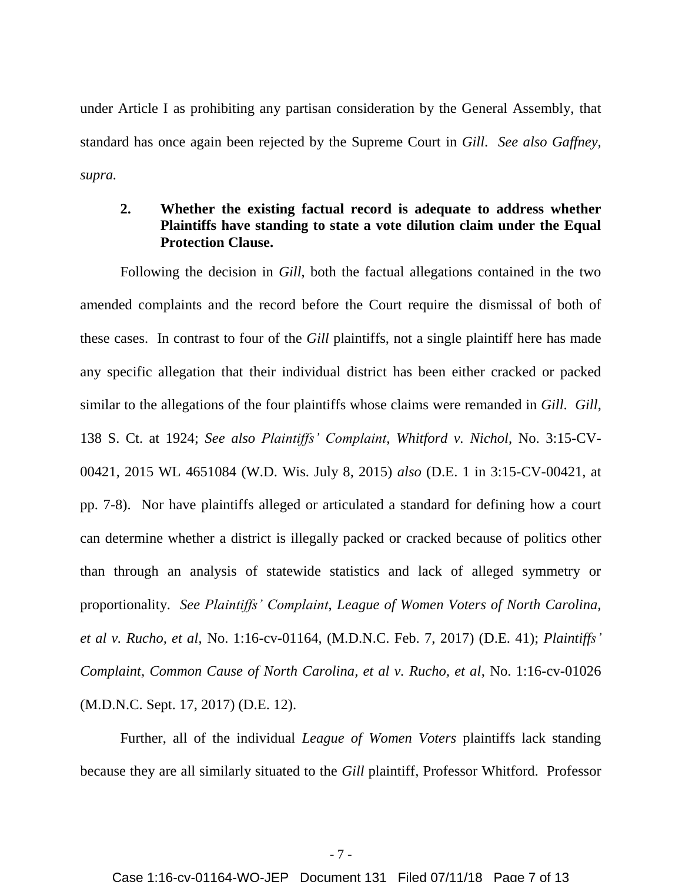under Article I as prohibiting any partisan consideration by the General Assembly, that standard has once again been rejected by the Supreme Court in *Gill*. *See also Gaffney, supra.*

### **2. Whether the existing factual record is adequate to address whether Plaintiffs have standing to state a vote dilution claim under the Equal Protection Clause.**

Following the decision in *Gill*, both the factual allegations contained in the two amended complaints and the record before the Court require the dismissal of both of these cases. In contrast to four of the *Gill* plaintiffs, not a single plaintiff here has made any specific allegation that their individual district has been either cracked or packed similar to the allegations of the four plaintiffs whose claims were remanded in *Gill*. *Gill*, 138 S. Ct. at 1924; *See also Plaintiffs' Complaint*, *Whitford v. Nichol*, No. 3:15-CV-00421, 2015 WL 4651084 (W.D. Wis. July 8, 2015) *also* (D.E. 1 in 3:15-CV-00421, at pp. 7-8). Nor have plaintiffs alleged or articulated a standard for defining how a court can determine whether a district is illegally packed or cracked because of politics other than through an analysis of statewide statistics and lack of alleged symmetry or proportionality. *See Plaintiffs' Complaint*, *League of Women Voters of North Carolina, et al v. Rucho, et al*, No. 1:16-cv-01164, (M.D.N.C. Feb. 7, 2017) (D.E. 41); *Plaintiffs' Complaint, Common Cause of North Carolina, et al v. Rucho, et al*, No. 1:16-cv-01026 (M.D.N.C. Sept. 17, 2017) (D.E. 12).

Further, all of the individual *League of Women Voters* plaintiffs lack standing because they are all similarly situated to the *Gill* plaintiff, Professor Whitford. Professor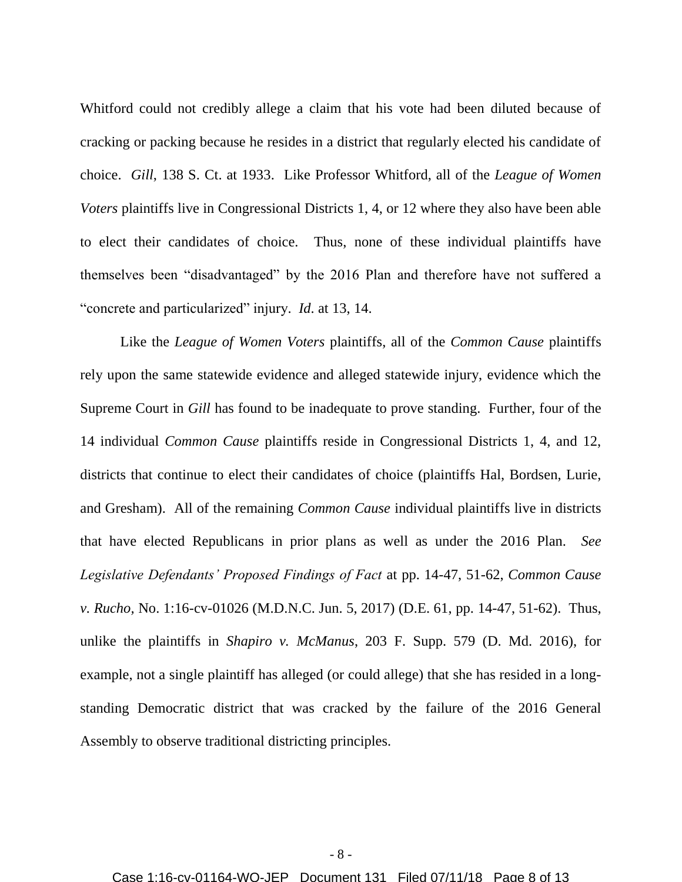Whitford could not credibly allege a claim that his vote had been diluted because of cracking or packing because he resides in a district that regularly elected his candidate of choice. *Gill*, 138 S. Ct. at 1933. Like Professor Whitford, all of the *League of Women Voters* plaintiffs live in Congressional Districts 1, 4, or 12 where they also have been able to elect their candidates of choice. Thus, none of these individual plaintiffs have themselves been "disadvantaged" by the 2016 Plan and therefore have not suffered a "concrete and particularized" injury. *Id*. at 13, 14.

Like the *League of Women Voters* plaintiffs, all of the *Common Cause* plaintiffs rely upon the same statewide evidence and alleged statewide injury, evidence which the Supreme Court in *Gill* has found to be inadequate to prove standing. Further, four of the 14 individual *Common Cause* plaintiffs reside in Congressional Districts 1, 4, and 12, districts that continue to elect their candidates of choice (plaintiffs Hal, Bordsen, Lurie, and Gresham). All of the remaining *Common Cause* individual plaintiffs live in districts that have elected Republicans in prior plans as well as under the 2016 Plan. *See Legislative Defendants' Proposed Findings of Fact* at pp. 14-47, 51-62, *Common Cause v. Rucho,* No. 1:16-cv-01026 (M.D.N.C. Jun. 5, 2017) (D.E. 61, pp. 14-47, 51-62). Thus, unlike the plaintiffs in *Shapiro v. McManus*, 203 F. Supp. 579 (D. Md. 2016), for example, not a single plaintiff has alleged (or could allege) that she has resided in a longstanding Democratic district that was cracked by the failure of the 2016 General Assembly to observe traditional districting principles.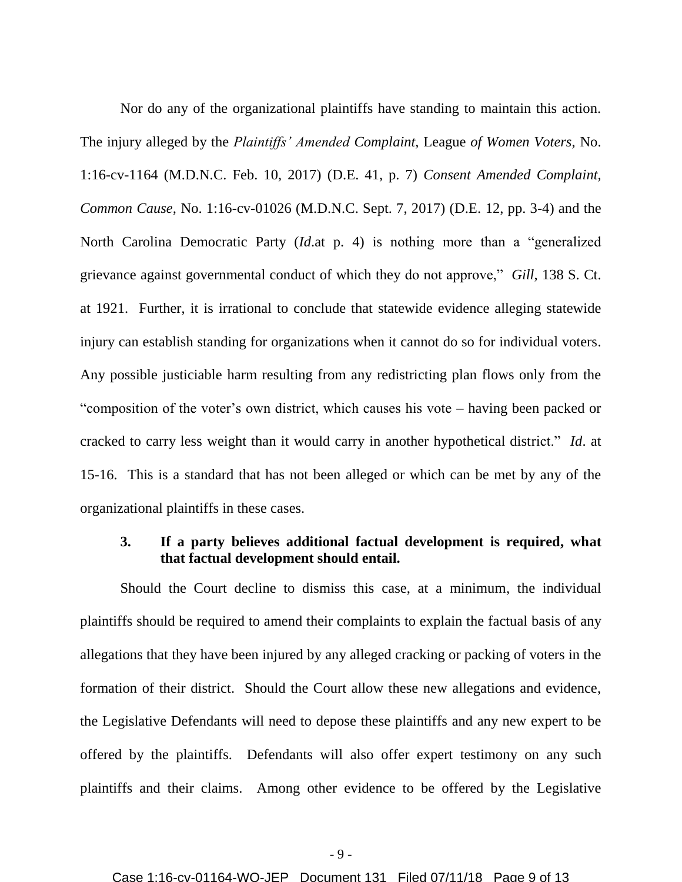Nor do any of the organizational plaintiffs have standing to maintain this action. The injury alleged by the *Plaintiffs' Amended Complaint*, League *of Women Voters*, No. 1:16-cv-1164 (M.D.N.C. Feb. 10, 2017) (D.E. 41, p. 7) *Consent Amended Complaint, Common Cause,* No. 1:16-cv-01026 (M.D.N.C. Sept. 7, 2017) (D.E. 12, pp. 3-4) and the North Carolina Democratic Party (*Id*.at p. 4) is nothing more than a "generalized grievance against governmental conduct of which they do not approve," *Gill*, 138 S. Ct. at 1921. Further, it is irrational to conclude that statewide evidence alleging statewide injury can establish standing for organizations when it cannot do so for individual voters. Any possible justiciable harm resulting from any redistricting plan flows only from the "composition of the voter's own district, which causes his vote – having been packed or cracked to carry less weight than it would carry in another hypothetical district." *Id*. at 15-16. This is a standard that has not been alleged or which can be met by any of the organizational plaintiffs in these cases.

#### **3. If a party believes additional factual development is required, what that factual development should entail.**

Should the Court decline to dismiss this case, at a minimum, the individual plaintiffs should be required to amend their complaints to explain the factual basis of any allegations that they have been injured by any alleged cracking or packing of voters in the formation of their district. Should the Court allow these new allegations and evidence, the Legislative Defendants will need to depose these plaintiffs and any new expert to be offered by the plaintiffs. Defendants will also offer expert testimony on any such plaintiffs and their claims. Among other evidence to be offered by the Legislative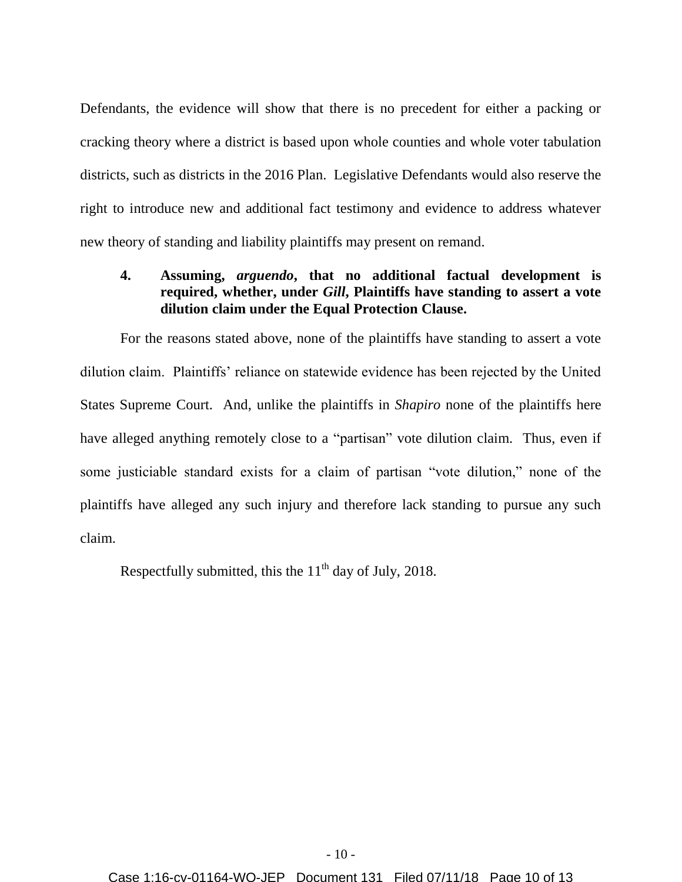Defendants, the evidence will show that there is no precedent for either a packing or cracking theory where a district is based upon whole counties and whole voter tabulation districts, such as districts in the 2016 Plan. Legislative Defendants would also reserve the right to introduce new and additional fact testimony and evidence to address whatever new theory of standing and liability plaintiffs may present on remand.

### **4. Assuming,** *arguendo***, that no additional factual development is required, whether, under** *Gill***, Plaintiffs have standing to assert a vote dilution claim under the Equal Protection Clause.**

For the reasons stated above, none of the plaintiffs have standing to assert a vote dilution claim. Plaintiffs' reliance on statewide evidence has been rejected by the United States Supreme Court. And, unlike the plaintiffs in *Shapiro* none of the plaintiffs here have alleged anything remotely close to a "partisan" vote dilution claim. Thus, even if some justiciable standard exists for a claim of partisan "vote dilution," none of the plaintiffs have alleged any such injury and therefore lack standing to pursue any such claim.

Respectfully submitted, this the  $11<sup>th</sup>$  day of July, 2018.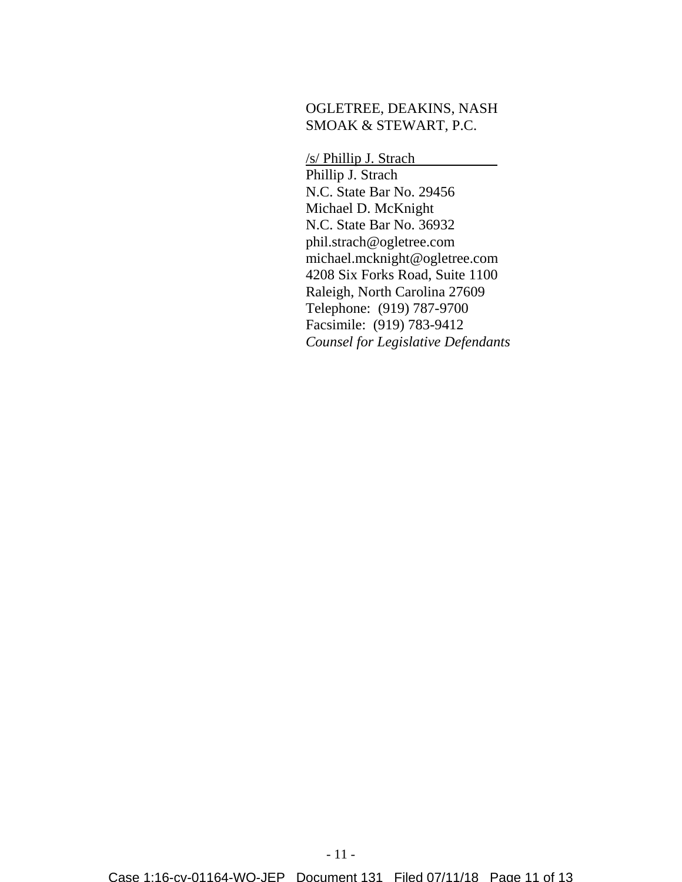#### OGLETREE, DEAKINS, NASH SMOAK & STEWART, P.C.

/s/ Phillip J. Strach Phillip J. Strach N.C. State Bar No. 29456 Michael D. McKnight N.C. State Bar No. 36932 phil.strach@ogletree.com michael.mcknight@ogletree.com 4208 Six Forks Road, Suite 1100 Raleigh, North Carolina 27609 Telephone: (919) 787-9700 Facsimile: (919) 783-9412 *Counsel for Legislative Defendants*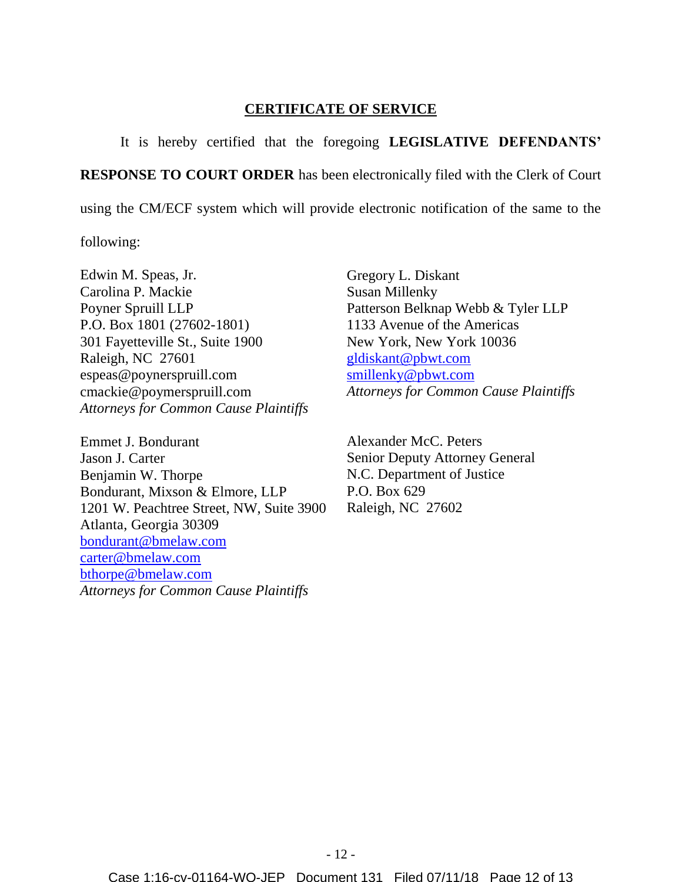#### **CERTIFICATE OF SERVICE**

It is hereby certified that the foregoing **LEGISLATIVE DEFENDANTS'** 

**RESPONSE TO COURT ORDER** has been electronically filed with the Clerk of Court

using the CM/ECF system which will provide electronic notification of the same to the

following:

Edwin M. Speas, Jr. Carolina P. Mackie Poyner Spruill LLP P.O. Box 1801 (27602-1801) 301 Fayetteville St., Suite 1900 Raleigh, NC 27601 espeas@poynerspruill.com cmackie@poymerspruill.com *Attorneys for Common Cause Plaintiffs*

Emmet J. Bondurant Jason J. Carter Benjamin W. Thorpe Bondurant, Mixson & Elmore, LLP 1201 W. Peachtree Street, NW, Suite 3900 Atlanta, Georgia 30309 bondurant@bmelaw.com carter@bmelaw.com bthorpe@bmelaw.com *Attorneys for Common Cause Plaintiffs*

Gregory L. Diskant Susan Millenky Patterson Belknap Webb & Tyler LLP 1133 Avenue of the Americas New York, New York 10036 gldiskant@pbwt.com smillenky@pbwt.com *Attorneys for Common Cause Plaintiffs*

Alexander McC. Peters Senior Deputy Attorney General N.C. Department of Justice P.O. Box 629 Raleigh, NC 27602